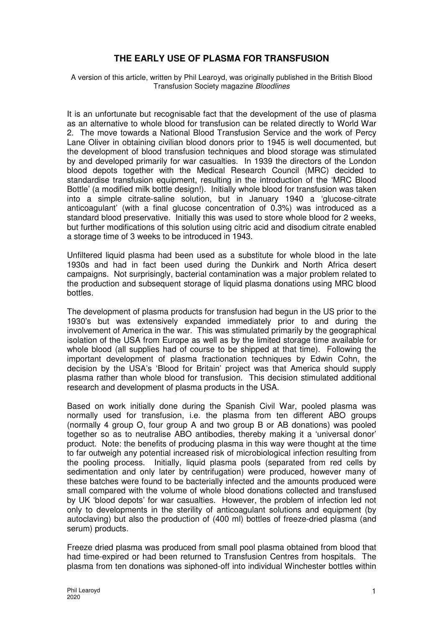## **THE EARLY USE OF PLASMA FOR TRANSFUSION**

A version of this article, written by Phil Learoyd, was originally published in the British Blood Transfusion Society magazine Bloodlines

It is an unfortunate but recognisable fact that the development of the use of plasma as an alternative to whole blood for transfusion can be related directly to World War 2. The move towards a National Blood Transfusion Service and the work of Percy Lane Oliver in obtaining civilian blood donors prior to 1945 is well documented, but the development of blood transfusion techniques and blood storage was stimulated by and developed primarily for war casualties. In 1939 the directors of the London blood depots together with the Medical Research Council (MRC) decided to standardise transfusion equipment, resulting in the introduction of the 'MRC Blood Bottle' (a modified milk bottle design!). Initially whole blood for transfusion was taken into a simple citrate-saline solution, but in January 1940 a 'glucose-citrate anticoagulant' (with a final glucose concentration of 0.3%) was introduced as a standard blood preservative. Initially this was used to store whole blood for 2 weeks, but further modifications of this solution using citric acid and disodium citrate enabled a storage time of 3 weeks to be introduced in 1943.

Unfiltered liquid plasma had been used as a substitute for whole blood in the late 1930s and had in fact been used during the Dunkirk and North Africa desert campaigns. Not surprisingly, bacterial contamination was a major problem related to the production and subsequent storage of liquid plasma donations using MRC blood bottles.

The development of plasma products for transfusion had begun in the US prior to the 1930's but was extensively expanded immediately prior to and during the involvement of America in the war. This was stimulated primarily by the geographical isolation of the USA from Europe as well as by the limited storage time available for whole blood (all supplies had of course to be shipped at that time). Following the important development of plasma fractionation techniques by Edwin Cohn, the decision by the USA's 'Blood for Britain' project was that America should supply plasma rather than whole blood for transfusion. This decision stimulated additional research and development of plasma products in the USA.

Based on work initially done during the Spanish Civil War, pooled plasma was normally used for transfusion, i.e. the plasma from ten different ABO groups (normally 4 group O, four group A and two group B or AB donations) was pooled together so as to neutralise ABO antibodies, thereby making it a 'universal donor' product. Note: the benefits of producing plasma in this way were thought at the time to far outweigh any potential increased risk of microbiological infection resulting from the pooling process. Initially, liquid plasma pools (separated from red cells by sedimentation and only later by centrifugation) were produced, however many of these batches were found to be bacterially infected and the amounts produced were small compared with the volume of whole blood donations collected and transfused by UK 'blood depots' for war casualties. However, the problem of infection led not only to developments in the sterility of anticoagulant solutions and equipment (by autoclaving) but also the production of (400 ml) bottles of freeze-dried plasma (and serum) products.

Freeze dried plasma was produced from small pool plasma obtained from blood that had time-expired or had been returned to Transfusion Centres from hospitals. The plasma from ten donations was siphoned-off into individual Winchester bottles within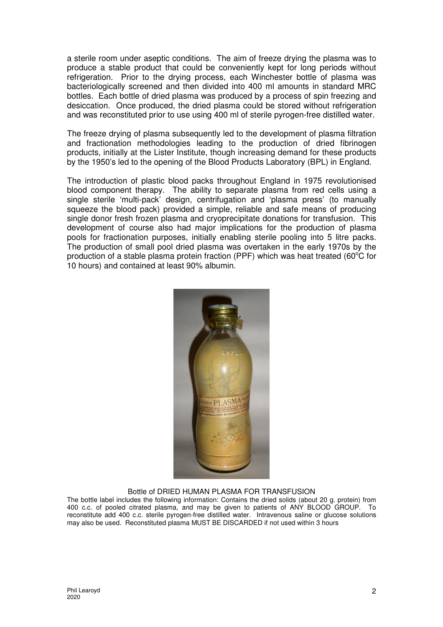a sterile room under aseptic conditions. The aim of freeze drying the plasma was to produce a stable product that could be conveniently kept for long periods without refrigeration. Prior to the drying process, each Winchester bottle of plasma was bacteriologically screened and then divided into 400 ml amounts in standard MRC bottles. Each bottle of dried plasma was produced by a process of spin freezing and desiccation. Once produced, the dried plasma could be stored without refrigeration and was reconstituted prior to use using 400 ml of sterile pyrogen-free distilled water.

The freeze drying of plasma subsequently led to the development of plasma filtration and fractionation methodologies leading to the production of dried fibrinogen products, initially at the Lister Institute, though increasing demand for these products by the 1950's led to the opening of the Blood Products Laboratory (BPL) in England.

The introduction of plastic blood packs throughout England in 1975 revolutionised blood component therapy. The ability to separate plasma from red cells using a single sterile 'multi-pack' design, centrifugation and 'plasma press' (to manually squeeze the blood pack) provided a simple, reliable and safe means of producing single donor fresh frozen plasma and cryoprecipitate donations for transfusion. This development of course also had major implications for the production of plasma pools for fractionation purposes, initially enabling sterile pooling into 5 litre packs. The production of small pool dried plasma was overtaken in the early 1970s by the production of a stable plasma protein fraction (PPF) which was heat treated (60 $^{\circ}$ C for 10 hours) and contained at least 90% albumin.



## Bottle of DRIED HUMAN PLASMA FOR TRANSFUSION

The bottle label includes the following information: Contains the dried solids (about 20 g. protein) from 400 c.c. of pooled citrated plasma, and may be given to patients of ANY BLOOD GROUP. To reconstitute add 400 c.c. sterile pyrogen-free distilled water. Intravenous saline or glucose solutions may also be used. Reconstituted plasma MUST BE DISCARDED if not used within 3 hours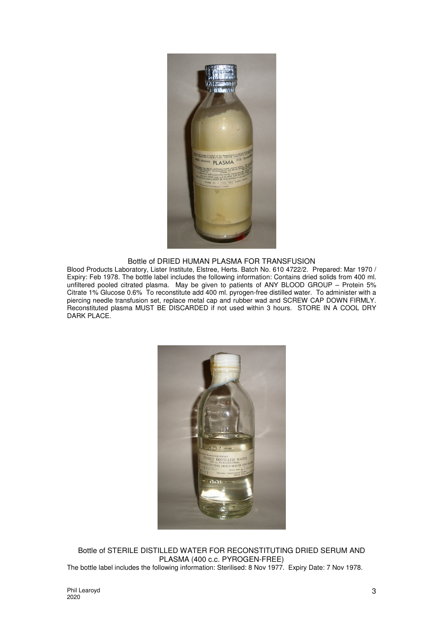

Bottle of DRIED HUMAN PLASMA FOR TRANSFUSION

Blood Products Laboratory, Lister Institute, Elstree, Herts. Batch No. 610 4722/2. Prepared: Mar 1970 / Expiry: Feb 1978. The bottle label includes the following information: Contains dried solids from 400 ml. unfiltered pooled citrated plasma. May be given to patients of ANY BLOOD GROUP – Protein 5% Citrate 1% Glucose 0.6% To reconstitute add 400 ml. pyrogen-free distilled water. To administer with a piercing needle transfusion set, replace metal cap and rubber wad and SCREW CAP DOWN FIRMLY. Reconstituted plasma MUST BE DISCARDED if not used within 3 hours. STORE IN A COOL DRY DARK PLACE.



Bottle of STERILE DISTILLED WATER FOR RECONSTITUTING DRIED SERUM AND PLASMA (400 c.c. PYROGEN-FREE) The bottle label includes the following information: Sterilised: 8 Nov 1977. Expiry Date: 7 Nov 1978.